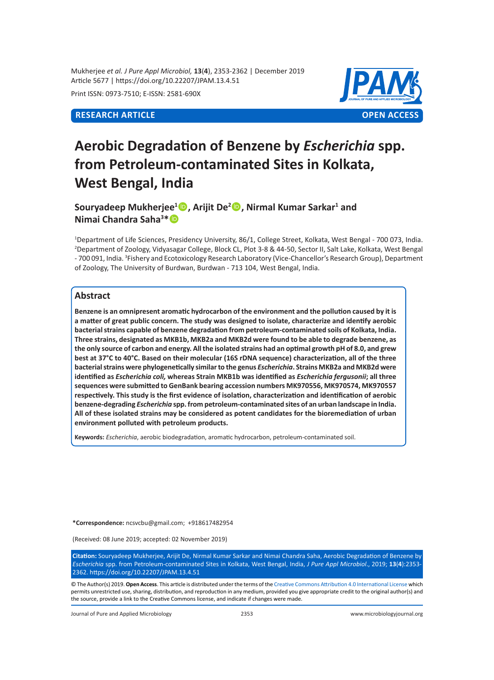Mukherjee *et al. J Pure Appl Microbiol,* **13**(**4**), 2353-2362 | December 2019 Article 5677 | https://doi.org/10.22207/JPAM.13.4.51

Print ISSN: 0973-7510; E-ISSN: 2581-690X



# **Aerobic Degradation of Benzene by** *Escherichia* **spp. from Petroleum-contaminated Sites in Kolkata, West Bengal, India**

**Souryadeep Mukherjee<sup>1</sup> , Arijit De<sup>2</sup> , Nirmal Kumar Sarkar<sup>1</sup> and Nimai Chandra Saha<sup>3</sup> \***

1 Department of Life Sciences, Presidency University, 86/1, College Street, Kolkata, West Bengal - 700 073, India. 2 Department of Zoology, Vidyasagar College, Block CL, Plot 3-8 & 44-50, Sector II, Salt Lake, Kolkata, West Bengal - 700 091, India. <sup>3</sup> Fishery and Ecotoxicology Research Laboratory (Vice-Chancellor's Research Group), Department of Zoology, The University of Burdwan, Burdwan - 713 104, West Bengal, India.

# **Abstract**

**Benzene is an omnipresent aromatic hydrocarbon of the environment and the pollution caused by it is a matter of great public concern. The study was designed to isolate, characterize and identify aerobic bacterial strains capable of benzene degradation from petroleum-contaminated soils of Kolkata, India. Three strains, designated as MKB1b, MKB2a and MKB2d were found to be able to degrade benzene, as the only source of carbon and energy. All the isolated strains had an optimal growth pH of 8.0, and grew best at 37°C to 40°C. Based on their molecular (16S rDNA sequence) characterization, all of the three bacterial strains were phylogenetically similar to the genus** *Escherichia***. Strains MKB2a and MKB2d were identified as** *Escherichia coli,* **whereas Strain MKB1b was identified as** *Escherichia fergusonii***; all three sequences were submitted to GenBank bearing accession numbers MK970556, MK970574, MK970557 respectively. This study is the first evidence of isolation, characterization and identification of aerobic benzene-degrading** *Escherichia* **spp. from petroleum-contaminated sites of an urban landscape in India. All of these isolated strains may be considered as potent candidates for the bioremediation of urban environment polluted with petroleum products.**

**Keywords:** *Escherichia*, aerobic biodegradation, aromatic hydrocarbon, petroleum-contaminated soil.

**\*Correspondence:** ncsvcbu@gmail.com; +918617482954

(Received: 08 June 2019; accepted: 02 November 2019)

**Citation:** Souryadeep Mukherjee, Arijit De, Nirmal Kumar Sarkar and Nimai Chandra Saha, Aerobic Degradation of Benzene by *Escherichia* spp. from Petroleum-contaminated Sites in Kolkata, West Bengal, India, *J Pure Appl Microbiol*., 2019; **13**(**4**):2353- 2362. https://doi.org/10.22207/JPAM.13.4.51

© The Author(s) 2019. **Open Access**. This article is distributed under the terms of the [Creative Commons Attribution 4.0 International License](https://creativecommons.org/licenses/by/4.0/) which permits unrestricted use, sharing, distribution, and reproduction in any medium, provided you give appropriate credit to the original author(s) and the source, provide a link to the Creative Commons license, and indicate if changes were made.

Journal of Pure and Applied Microbiology 2353 www.microbiologyjournal.org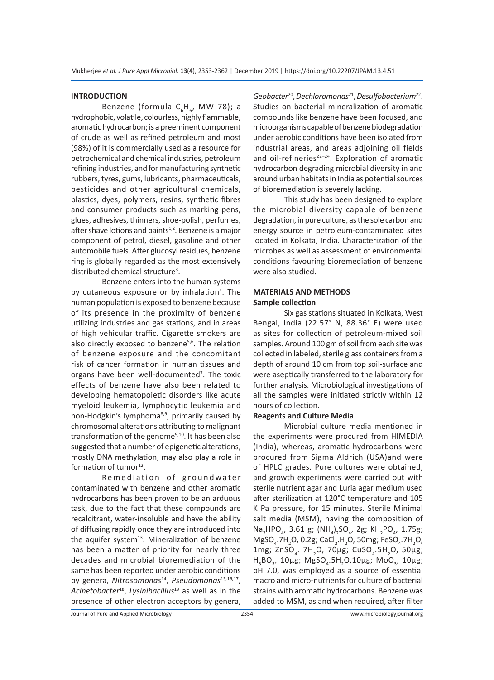#### **INTRODUCTION**

Benzene (formula C<sub>6</sub>H<sub>6</sub>, MW 78); a hydrophobic, volatile, colourless, highly flammable, aromatic hydrocarbon; is a preeminent component of crude as well as refined petroleum and most (98%) of it is commercially used as a resource for petrochemical and chemical industries, petroleum refining industries, and for manufacturing synthetic rubbers, tyres, gums, lubricants, pharmaceuticals, pesticides and other agricultural chemicals, plastics, dyes, polymers, resins, synthetic fibres and consumer products such as marking pens, glues, adhesives, thinners, shoe-polish, perfumes, after shave lotions and paints<sup>1,2</sup>. Benzene is a major component of petrol, diesel, gasoline and other automobile fuels. After glucosyl residues, benzene ring is globally regarded as the most extensively distributed chemical structure<sup>3</sup>.

Benzene enters into the human systems by cutaneous exposure or by inhalation<sup>4</sup>. The human population is exposed to benzene because of its presence in the proximity of benzene utilizing industries and gas stations, and in areas of high vehicular traffic. Cigarette smokers are also directly exposed to benzene<sup>5,6</sup>. The relation of benzene exposure and the concomitant risk of cancer formation in human tissues and organs have been well-documented<sup>7</sup>. The toxic effects of benzene have also been related to developing hematopoietic disorders like acute myeloid leukemia, lymphocytic leukemia and non-Hodgkin's lymphoma<sup>8,9</sup>, primarily caused by chromosomal alterations attributing to malignant transformation of the genome<sup>9,10</sup>. It has been also suggested that a number of epigenetic alterations, mostly DNA methylation, may also play a role in formation of tumor<sup>12</sup>.

Remediation of groundwater contaminated with benzene and other aromatic hydrocarbons has been proven to be an arduous task, due to the fact that these compounds are recalcitrant, water-insoluble and have the ability of diffusing rapidly once they are introduced into the aquifer system $13$ . Mineralization of benzene has been a matter of priority for nearly three decades and microbial bioremediation of the same has been reported under aerobic conditions by genera, *Nitrosomonas*14, *Pseudomonas*15*,*16*,*17, *Acinetobacter*18, *Lysinibacillus*19 as well as in the presence of other electron acceptors by genera, *Geobacter*20, *Dechloromonas*21, *Desulfobacterium*22. Studies on bacterial mineralization of aromatic compounds like benzene have been focused, and microorganisms capable of benzene biodegradation under aerobic conditions have been isolated from industrial areas, and areas adjoining oil fields and oil-refineries $22-24$ . Exploration of aromatic hydrocarbon degrading microbial diversity in and around urban habitats in India as potential sources of bioremediation is severely lacking.

This study has been designed to explore the microbial diversity capable of benzene degradation, in pure culture, as the sole carbon and energy source in petroleum-contaminated sites located in Kolkata, India. Characterization of the microbes as well as assessment of environmental conditions favouring bioremediation of benzene were also studied.

#### **MATERIALS AND METHODS Sample collection**

Six gas stations situated in Kolkata, West Bengal, India (22.57° N, 88.36° E) were used as sites for collection of petroleum-mixed soil samples. Around 100 gm of soil from each site was collected in labeled, sterile glass containers from a depth of around 10 cm from top soil-surface and were aseptically transferred to the laboratory for further analysis. Microbiological investigations of all the samples were initiated strictly within 12 hours of collection.

#### **Reagents and Culture Media**

Microbial culture media mentioned in the experiments were procured from HIMEDIA (India), whereas, aromatic hydrocarbons were procured from Sigma Aldrich (USA)and were of HPLC grades. Pure cultures were obtained, and growth experiments were carried out with sterile nutrient agar and Luria agar medium used after sterilization at 120°C temperature and 105 K Pa pressure, for 15 minutes. Sterile Minimal salt media (MSM), having the composition of Na<sub>2</sub>HPO<sub>4</sub>, 3.61 g; (NH<sub>4</sub>)<sub>2</sub>SO<sub>4</sub>, 2g; KH<sub>2</sub>PO<sub>4</sub>, 1.75g;  $M$ gSO<sub>4</sub>.7H<sub>2</sub>O, 0.2g; CaCl<sub>2</sub>.H<sub>2</sub>O, 50mg; FeSO<sub>4</sub>.7H<sub>2</sub>O, 1mg; ZnSO<sub>4</sub>. 7H<sub>2</sub>O, 70μg; CuSO<sub>4</sub>.5H<sub>2</sub>O, 50μg; H<sub>3</sub>BO<sub>3</sub>, 10μg; MgSO<sub>4</sub>.5H<sub>2</sub>O,10μg; MoO<sub>3</sub>, 10μg; pH 7.0, was employed as a source of essential macro and micro-nutrients for culture of bacterial strains with aromatic hydrocarbons. Benzene was added to MSM, as and when required, after filter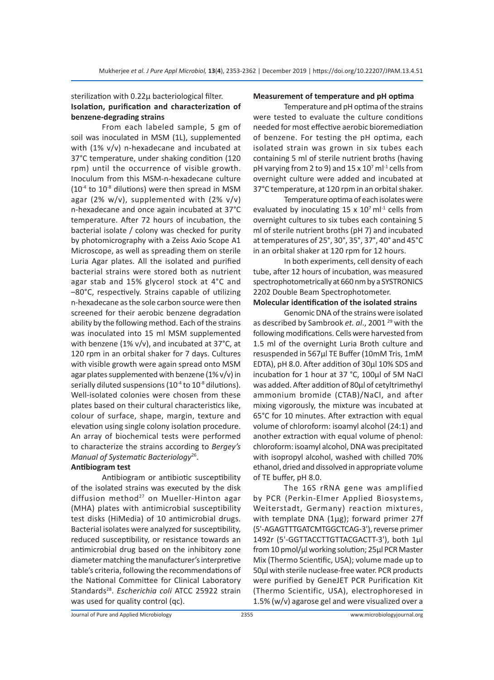#### sterilization with 0.22µ bacteriological filter. **Isolation, purification and characterization of benzene-degrading strains**

From each labeled sample, 5 gm of soil was inoculated in MSM (1L), supplemented with (1% v/v) n-hexadecane and incubated at 37°C temperature, under shaking condition (120 rpm) until the occurrence of visible growth. Inoculum from this MSM-n-hexadecane culture  $(10^{-4}$  to  $10^{-8}$  dilutions) were then spread in MSM agar (2% w/v), supplemented with (2% v/v) n-hexadecane and once again incubated at 37°C temperature. After 72 hours of incubation, the bacterial isolate / colony was checked for purity by photomicrography with a Zeiss Axio Scope A1 Microscope, as well as spreading them on sterile Luria Agar plates. All the isolated and purified bacterial strains were stored both as nutrient agar stab and 15% glycerol stock at 4°C and –80°C, respectively. Strains capable of utilizing n-hexadecane as the sole carbon source were then screened for their aerobic benzene degradation ability by the following method. Each of the strains was inoculated into 15 ml MSM supplemented with benzene (1% v/v), and incubated at 37°C, at 120 rpm in an orbital shaker for 7 days. Cultures with visible growth were again spread onto MSM agar plates supplemented with benzene (1% v/v) in serially diluted suspensions  $(10^{-4}$  to  $10^{-8}$  dilutions). Well-isolated colonies were chosen from these plates based on their cultural characteristics like, colour of surface, shape, margin, texture and elevation using single colony isolation procedure. An array of biochemical tests were performed to characterize the strains according to *Bergey's Manual of Systematic Bacteriology*26.

# **Antibiogram test**

Antibiogram or antibiotic susceptibility of the isolated strains was executed by the disk diffusion method<sup>27</sup> on Mueller-Hinton agar (MHA) plates with antimicrobial susceptibility test disks (HiMedia) of 10 antimicrobial drugs. Bacterial isolates were analyzed for susceptibility, reduced susceptibility, or resistance towards an antimicrobial drug based on the inhibitory zone diameter matching the manufacturer's interpretive table's criteria, following the recommendations of the National Committee for Clinical Laboratory Standards28. *Escherichia coli* ATCC 25922 strain was used for quality control (qc).

#### **Measurement of temperature and pH optima**

Temperature and pH optima of the strains were tested to evaluate the culture conditions needed for most effective aerobic bioremediation of benzene. For testing the pH optima, each isolated strain was grown in six tubes each containing 5 ml of sterile nutrient broths (having pH varying from 2 to 9) and 15 x 10<sup>7</sup> ml<sup>-1</sup> cells from overnight culture were added and incubated at 37°C temperature, at 120 rpm in an orbital shaker.

Temperature optima of each isolates were evaluated by inoculating 15 x  $10<sup>7</sup>$  ml<sup>-1</sup> cells from overnight cultures to six tubes each containing 5 ml of sterile nutrient broths (pH 7) and incubated at temperatures of 25°, 30°, 35°, 37°, 40° and 45°C in an orbital shaker at 120 rpm for 12 hours.

In both experiments, cell density of each tube, after 12 hours of incubation, was measured spectrophotometrically at 660 nm by a SYSTRONICS 2202 Double Beam Spectrophotometer.

#### **Molecular identification of the isolated strains**

Genomic DNA of the strains were isolated as described by Sambrook *et. al*., 2001 29 with the following modifications. Cells were harvested from 1.5 ml of the overnight Luria Broth culture and resuspended in 567µl TE Buffer (10mM Tris, 1mM EDTA), pH 8.0. After addition of 30µl 10% SDS and incubation for 1 hour at 37 °C, 100µl of 5M NaCl was added. After addition of 80µl of cetyltrimethyl ammonium bromide (CTAB)/NaCl, and after mixing vigorously, the mixture was incubated at 65°C for 10 minutes. After extraction with equal volume of chloroform: isoamyl alcohol (24:1) and another extraction with equal volume of phenol: chloroform: isoamyl alcohol, DNA was precipitated with isopropyl alcohol, washed with chilled 70% ethanol, dried and dissolved in appropriate volume of TE buffer, pH 8.0.

The 16S rRNA gene was amplified by PCR (Perkin-Elmer Applied Biosystems, Weiterstadt, Germany) reaction mixtures, with template DNA (1µg); forward primer 27f (5'-AGAGTTTGATCMTGGCTCAG-3'), reverse primer 1492r (5'-GGTTACCTTGTTACGACTT-3'), both 1µl from 10 pmol/µl working solution; 25µl PCR Master Mix (Thermo Scientific, USA); volume made up to 50µl with sterile nuclease-free water. PCR products were purified by GeneJET PCR Purification Kit (Thermo Scientific, USA), electrophoresed in 1.5% (w/v) agarose gel and were visualized over a

Journal of Pure and Applied Microbiology 2355 www.microbiologyjournal.org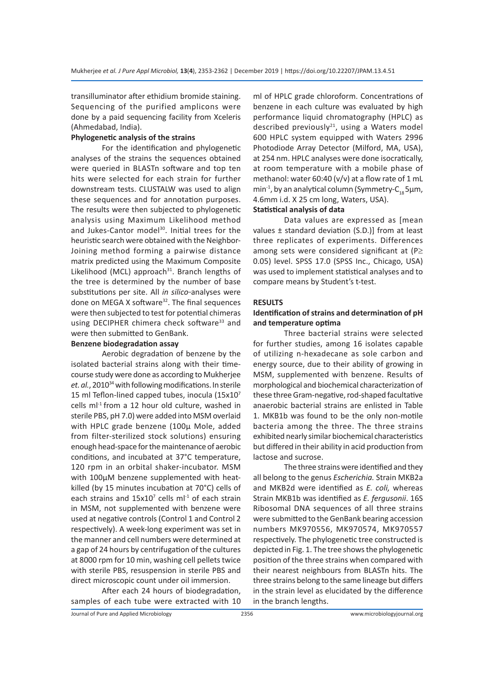transilluminator after ethidium bromide staining. Sequencing of the purified amplicons were done by a paid sequencing facility from Xceleris (Ahmedabad, India).

# **Phylogenetic analysis of the strains**

For the identification and phylogenetic analyses of the strains the sequences obtained were queried in BLASTn software and top ten hits were selected for each strain for further downstream tests. CLUSTALW was used to align these sequences and for annotation purposes. The results were then subjected to phylogenetic analysis using Maximum Likelihood method and Jukes-Cantor model<sup>30</sup>. Initial trees for the heuristic search were obtained with the Neighbor-Joining method forming a pairwise distance matrix predicted using the Maximum Composite Likelihood (MCL) approach $31$ . Branch lengths of the tree is determined by the number of base substitutions per site. All *in silico*-analyses were done on MEGA X software<sup>32</sup>. The final sequences were then subjected to test for potential chimeras using DECIPHER chimera check software<sup>33</sup> and were then submitted to GenBank.

#### **Benzene biodegradation assay**

Aerobic degradation of benzene by the isolated bacterial strains along with their timecourse study were done as according to Mukherjee *et. al.*, 201034 with following modifications. In sterile 15 ml Teflon-lined capped tubes, inocula (15x107 cells ml-1 from a 12 hour old culture, washed in sterile PBS, pH 7.0) were added into MSM overlaid with HPLC grade benzene (100µ Mole, added from filter-sterilized stock solutions) ensuring enough head-space for the maintenance of aerobic conditions, and incubated at 37°C temperature, 120 rpm in an orbital shaker-incubator. MSM with 100µM benzene supplemented with heatkilled (by 15 minutes incubation at 70°C) cells of each strains and  $15x10^7$  cells m $l^{-1}$  of each strain in MSM, not supplemented with benzene were used at negative controls (Control 1 and Control 2 respectively). A week-long experiment was set in the manner and cell numbers were determined at a gap of 24 hours by centrifugation of the cultures at 8000 rpm for 10 min, washing cell pellets twice with sterile PBS, resuspension in sterile PBS and direct microscopic count under oil immersion.

After each 24 hours of biodegradation, samples of each tube were extracted with 10 ml of HPLC grade chloroform. Concentrations of benzene in each culture was evaluated by high performance liquid chromatography (HPLC) as described previously $21$ , using a Waters model 600 HPLC system equipped with Waters 2996 Photodiode Array Detector (Milford, MA, USA), at 254 nm. HPLC analyses were done isocratically, at room temperature with a mobile phase of methanol: water 60:40 (v/v) at a flow rate of 1 mL min<sup>-1</sup>, by an analytical column (Symmetry-C<sub>1</sub>, 5µm, 4.6mm i.d. X 25 cm long, Waters, USA).

# **Statistical analysis of data**

Data values are expressed as [mean values  $\pm$  standard deviation (S.D.)] from at least three replicates of experiments. Differences among sets were considered significant at (P≥ 0.05) level. SPSS 17.0 (SPSS Inc., Chicago, USA) was used to implement statistical analyses and to compare means by Student's t-test.

#### **RESULTS**

# **Identification of strains and determination of pH and temperature optima**

Three bacterial strains were selected for further studies, among 16 isolates capable of utilizing n-hexadecane as sole carbon and energy source, due to their ability of growing in MSM, supplemented with benzene. Results of morphological and biochemical characterization of these three Gram-negative, rod-shaped facultative anaerobic bacterial strains are enlisted in Table 1. MKB1b was found to be the only non-motile bacteria among the three. The three strains exhibited nearly similar biochemical characteristics but differed in their ability in acid production from lactose and sucrose.

The three strains were identified and they all belong to the genus *Escherichia.* Strain MKB2a and MKB2d were identified as *E. coli,* whereas Strain MKB1b was identified as *E. fergusonii*. 16S Ribosomal DNA sequences of all three strains were submitted to the GenBank bearing accession numbers MK970556, MK970574, MK970557 respectively. The phylogenetic tree constructed is depicted in Fig. 1. The tree shows the phylogenetic position of the three strains when compared with their nearest neighbours from BLASTn hits. The three strains belong to the same lineage but differs in the strain level as elucidated by the difference in the branch lengths.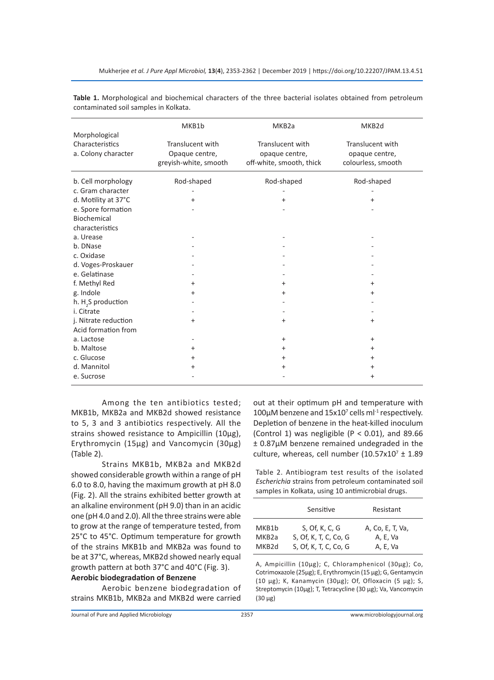|                                | MKB1b                 | MKB <sub>2a</sub>        | MKB <sub>2d</sub>  |
|--------------------------------|-----------------------|--------------------------|--------------------|
| Morphological                  |                       |                          |                    |
| Characteristics                | Translucent with      | Translucent with         | Translucent with   |
| a. Colony character            | Opaque centre,        | opaque centre,           | opaque centre,     |
|                                | greyish-white, smooth | off-white, smooth, thick | colourless, smooth |
| b. Cell morphology             | Rod-shaped            | Rod-shaped               | Rod-shaped         |
| c. Gram character              |                       |                          |                    |
| d. Motility at 37°C            | +                     | $\ddot{}$                | +                  |
| e. Spore formation             |                       |                          |                    |
| Biochemical                    |                       |                          |                    |
| characteristics                |                       |                          |                    |
| a. Urease                      |                       |                          |                    |
| b. DNase                       |                       |                          |                    |
| c. Oxidase                     |                       |                          |                    |
| d. Voges-Proskauer             |                       |                          |                    |
| e. Gelatinase                  |                       |                          |                    |
| f. Methyl Red                  | $\ddot{}$             | +                        | +                  |
| g. Indole                      | +                     | +                        | +                  |
| h. H <sub>2</sub> S production |                       |                          |                    |
| i. Citrate                     |                       |                          |                    |
| j. Nitrate reduction           | +                     | +                        | +                  |
| Acid formation from            |                       |                          |                    |
| a. Lactose                     |                       | +                        | +                  |
| b. Maltose                     | $\ddot{}$             | +                        | +                  |
| c. Glucose                     | $\ddot{}$             | $\ddot{}$                | +                  |
| d. Mannitol                    | +                     | +                        | +                  |
| e. Sucrose                     |                       |                          | +                  |

**Table 1.** Morphological and biochemical characters of the three bacterial isolates obtained from petroleum contaminated soil samples in Kolkata.

Among the ten antibiotics tested; MKB1b, MKB2a and MKB2d showed resistance to 5, 3 and 3 antibiotics respectively. All the strains showed resistance to Ampicillin (10µg), Erythromycin (15µg) and Vancomycin (30µg) (Table 2).

Strains MKB1b, MKB2a and MKB2d showed considerable growth within a range of pH 6.0 to 8.0, having the maximum growth at pH 8.0 (Fig. 2). All the strains exhibited better growth at an alkaline environment (pH 9.0) than in an acidic one (pH 4.0 and 2.0). All the three strains were able to grow at the range of temperature tested, from 25°C to 45°C. Optimum temperature for growth of the strains MKB1b and MKB2a was found to be at 37°C, whereas, MKB2d showed nearly equal growth pattern at both 37°C and 40°C (Fig. 3). **Aerobic biodegradation of Benzene**

Aerobic benzene biodegradation of strains MKB1b, MKB2a and MKB2d were carried out at their optimum pH and temperature with 100 $\mu$ M benzene and 15x10<sup>7</sup> cells m $l^{-1}$  respectively. Depletion of benzene in the heat-killed inoculum (Control 1) was negligible ( $P < 0.01$ ), and 89.66 ± 0.87µM benzene remained undegraded in the culture, whereas, cell number  $(10.57 \times 10^7 \pm 1.89)$ 

Table 2. Antibiogram test results of the isolated *Escherichia* strains from petroleum contaminated soil samples in Kolkata, using 10 antimicrobial drugs.

|                    | Sensitive             | Resistant        |
|--------------------|-----------------------|------------------|
| MKB1b              | S, Of, K, C, G        | A, Co, E, T, Va, |
| MKB <sub>2</sub> a | S, Of, K, T, C, Co, G | A, E, Va         |
| MKB <sub>2</sub> d | S, Of, K, T, C, Co, G | A, E, Va         |

A, Ampicillin (10µg); C, Chloramphenicol (30µg); Co, Cotrimoxazole (25µg); E, Erythromycin (15 µg); G, Gentamycin (10 µg); K, Kanamycin (30µg); Of, Ofloxacin (5 µg); S, Streptomycin (10µg); T, Tetracycline (30 µg); Va, Vancomycin (30 µg)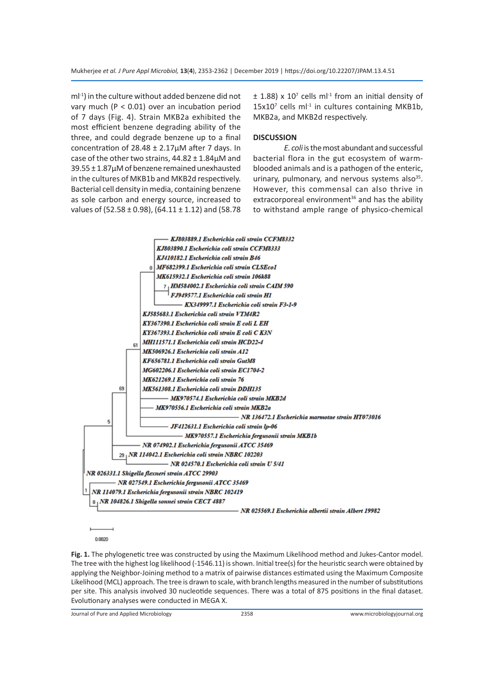ml-1) in the culture without added benzene did not vary much (P < 0.01) over an incubation period of 7 days (Fig. 4). Strain MKB2a exhibited the most efficient benzene degrading ability of the three, and could degrade benzene up to a final concentration of  $28.48 \pm 2.17 \mu$ M after 7 days. In case of the other two strains,  $44.82 \pm 1.84 \mu$ M and 39.55 ± 1.87µM of benzene remained unexhausted in the cultures of MKB1b and MKB2d respectively. Bacterial cell density in media, containing benzene as sole carbon and energy source, increased to values of (52.58  $\pm$  0.98), (64.11  $\pm$  1.12) and (58.78

 $\pm$  1.88) x 10<sup>7</sup> cells ml<sup>-1</sup> from an initial density of  $15x10<sup>7</sup>$  cells ml<sup>-1</sup> in cultures containing MKB1b, MKB2a, and MKB2d respectively.

#### **DISCUSSION**

*E. coli* is the most abundant and successful bacterial flora in the gut ecosystem of warmblooded animals and is a pathogen of the enteric, urinary, pulmonary, and nervous systems also $35$ . However, this commensal can also thrive in extracorporeal environment $36$  and has the ability to withstand ample range of physico-chemical



0.0020

**Fig. 1.** The phylogenetic tree was constructed by using the Maximum Likelihood method and Jukes-Cantor model. The tree with the highest log likelihood (-1546.11) is shown. Initial tree(s) for the heuristic search were obtained by applying the Neighbor-Joining method to a matrix of pairwise distances estimated using the Maximum Composite Likelihood (MCL) approach. The tree is drawn to scale, with branch lengths measured in the number of substitutions per site. This analysis involved 30 nucleotide sequences. There was a total of 875 positions in the final dataset. Evolutionary analyses were conducted in MEGA X.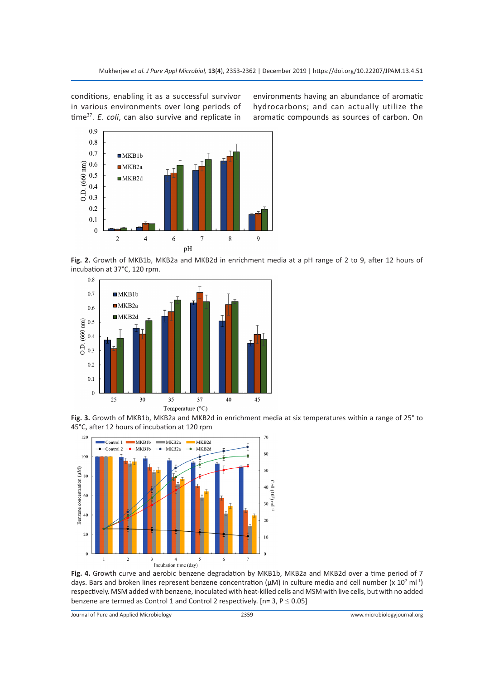conditions, enabling it as a successful survivor in various environments over long periods of time37. *E. coli*, can also survive and replicate in



environments having an abundance of aromatic hydrocarbons; and can actually utilize the aromatic compounds as sources of carbon. On

**Fig. 2.** Growth of MKB1b, MKB2a and MKB2d in enrichment media at a pH range of 2 to 9, after 12 hours of incubation at 37°C, 120 rpm.



**Fig. 3.** Growth of MKB1b, MKB2a and MKB2d in enrichment media at six temperatures within a range of 25° to 45°C, after 12 hours of incubation at 120 rpm



**Fig. 4.** Growth curve and aerobic benzene degradation by MKB1b, MKB2a and MKB2d over a time period of 7 days. Bars and broken lines represent benzene concentration ( $\mu$ M) in culture media and cell number (x 10<sup>7</sup> ml<sup>-1</sup>) respectively. MSM added with benzene, inoculated with heat-killed cells and MSM with live cells, but with no added benzene are termed as Control 1 and Control 2 respectively. [n= 3,  $P \le 0.05$ ]

Journal of Pure and Applied Microbiology 2359 www.microbiologyjournal.org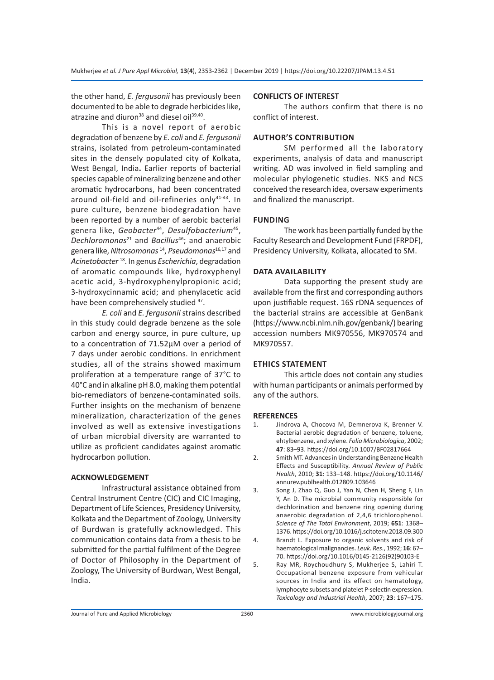the other hand, *E. fergusonii* has previously been documented to be able to degrade herbicides like, atrazine and diuron<sup>38</sup> and diesel oil<sup>39,40</sup>.

This is a novel report of aerobic degradation of benzene by *E. coli* and *E. fergusonii* strains, isolated from petroleum-contaminated sites in the densely populated city of Kolkata, West Bengal, India**.** Earlier reports of bacterial species capable of mineralizing benzene and other aromatic hydrocarbons, had been concentrated around oil-field and oil-refineries only<sup>41-43</sup>. In pure culture, benzene biodegradation have been reported by a number of aerobic bacterial genera like, *Geobacter*44, *Desulfobacterium*45, *Dechloromonas*21 and *Bacillus*46; and anaerobic genera like, *Nitrosomonas* 14, *Pseudomonas*16*,*17 and *Acinetobacter* <sup>18</sup>. In genus *Escherichia*, degradation of aromatic compounds like, hydroxyphenyl acetic acid, 3-hydroxyphenylpropionic acid; 3-hydroxycinnamic acid; and phenylacetic acid have been comprehensively studied <sup>47</sup>.

*E. coli* and *E. fergusonii* strains described in this study could degrade benzene as the sole carbon and energy source, in pure culture, up to a concentration of 71.52µM over a period of 7 days under aerobic conditions. In enrichment studies, all of the strains showed maximum proliferation at a temperature range of 37°C to 40°C and in alkaline pH 8.0, making them potential bio-remediators of benzene-contaminated soils. Further insights on the mechanism of benzene mineralization, characterization of the genes involved as well as extensive investigations of urban microbial diversity are warranted to utilize as proficient candidates against aromatic hydrocarbon pollution.

#### **ACKNOWLEDGEMENT**

Infrastructural assistance obtained from Central Instrument Centre (CIC) and CIC Imaging, Department of Life Sciences, Presidency University, Kolkata and the Department of Zoology, University of Burdwan is gratefully acknowledged. This communication contains data from a thesis to be submitted for the partial fulfilment of the Degree of Doctor of Philosophy in the Department of Zoology, The University of Burdwan, West Bengal, India.

# **CONFLICTS OF INTEREST**

The authors confirm that there is no conflict of interest.

# **AUTHOR'S CONTRIBUTION**

SM performed all the laboratory experiments, analysis of data and manuscript writing. AD was involved in field sampling and molecular phylogenetic studies. NKS and NCS conceived the research idea, oversaw experiments and finalized the manuscript.

# **FUNDING**

The work has been partially funded by the Faculty Research and Development Fund (FRPDF), Presidency University, Kolkata, allocated to SM.

# **DATA AVAILABILITY**

Data supporting the present study are available from the first and corresponding authors upon justifiable request. 16S rDNA sequences of the bacterial strains are accessible at GenBank (https://www.ncbi.nlm.nih.gov/genbank/) bearing accession numbers MK970556, MK970574 and MK970557.

# **ETHICS STATEMENT**

This article does not contain any studies with human participants or animals performed by any of the authors.

#### **REFERENCES**

- 1. Jindrova A, Chocova M, Demnerova K, Brenner V. Bacterial aerobic degradation of benzene, toluene, ehtylbenzene, and xylene. *Folia Microbiologica*, 2002; **47**: 83–93. https://doi.org/10.1007/BF02817664
- 2. Smith MT. Advances in Understanding Benzene Health Effects and Susceptibility. *Annual Review of Public Health*, 2010; **31**: 133–148. https://doi.org/10.1146/ annurev.publhealth.012809.103646
- 3. Song J, Zhao Q, Guo J, Yan N, Chen H, Sheng F, Lin Y, An D. The microbial community responsible for dechlorination and benzene ring opening during anaerobic degradation of 2,4,6 trichlorophenol. *Science of The Total Environment*, 2019; **651**: 1368– 1376. https://doi.org/10.1016/j.scitotenv.2018.09.300
- 4. Brandt L. Exposure to organic solvents and risk of haematological malignancies. *Leuk. Res*., 1992; **16**: 67– 70. https://doi.org/10.1016/0145-2126(92)90103-E
- 5. Ray MR, Roychoudhury S, Mukherjee S, Lahiri T. Occupational benzene exposure from vehicular sources in India and its effect on hematology, lymphocyte subsets and platelet P-selectin expression. *Toxicology and Industrial Health*, 2007; **23**: 167–175.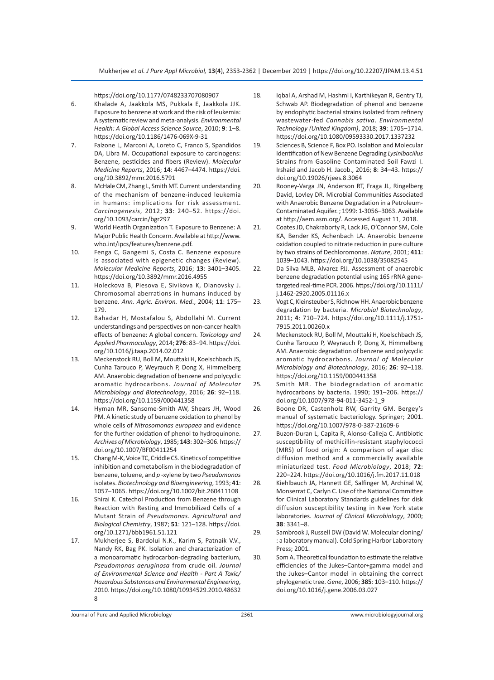https://doi.org/10.1177/0748233707080907

- 6. Khalade A, Jaakkola MS, Pukkala E, Jaakkola JJK. Exposure to benzene at work and the risk of leukemia: A systematic review and meta-analysis. *Environmental Health: A Global Access Science Source*, 2010; **9**: 1–8. https://doi.org/10.1186/1476-069X-9-31
- 7. Falzone L, Marconi A, Loreto C, Franco S, Spandidos DA, Libra M. Occupational exposure to carcinogens: Benzene, pesticides and fibers (Review). *Molecular Medicine Reports*, 2016; **14**: 4467–4474. https://doi. org/10.3892/mmr.2016.5791
- 8. McHale CM, Zhang L, Smith MT. Current understanding of the mechanism of benzene-induced leukemia in humans: implications for risk assessment. *Carcinogenesis*, 2012; **33**: 240–52. https://doi. org/10.1093/carcin/bgr297
- 9. World Heatlh Organization T. Exposure to Benzene: A Major Public Health Concern. Available at http://www. who.int/ipcs/features/benzene.pdf.
- 10. Fenga C, Gangemi S, Costa C. Benzene exposure is associated with epigenetic changes (Review). *Molecular Medicine Reports*, 2016; **13**: 3401–3405. https://doi.org/10.3892/mmr.2016.4955
- 11. Holeckova B, Piesova E, Sivikova K, Dianovsky J. Chromosomal aberrations in humans induced by benzene. *Ann. Agric. Environ. Med*., 2004; **11**: 175– 179.
- 12. Bahadar H, Mostafalou S, Abdollahi M. Current understandings and perspectives on non-cancer health effects of benzene: A global concern. *Toxicology and Applied Pharmacology*, 2014; **276**: 83–94. https://doi. org/10.1016/j.taap.2014.02.012
- 13. Meckenstock RU, Boll M, Mouttaki H, Koelschbach JS, Cunha Tarouco P, Weyrauch P, Dong X, Himmelberg AM. Anaerobic degradation of benzene and polycyclic aromatic hydrocarbons. *Journal of Molecular Microbiology and Biotechnology*, 2016; **26**: 92–118. https://doi.org/10.1159/000441358
- 14. Hyman MR, Sansome-Smith AW, Shears JH, Wood PM. A kinetic study of benzene oxidation to phenol by whole cells of *Nitrosomonas europaea* and evidence for the further oxidation of phenol to hydroquinone. *Archives of Microbiology*, 1985; **143**: 302–306. https:// doi.org/10.1007/BF00411254
- 15. Chang M-K, Voice TC, Criddle CS. Kinetics of competitive inhibition and cometabolism in the biodegradation of benzene, toluene, and *p* -xylene by two *Pseudomonas* isolates. *Biotechnology and Bioengineering*, 1993; **41**: 1057–1065. https://doi.org/10.1002/bit.260411108
- 16. Shirai K. Catechol Production from Benzene through Reaction with Resting and Immobilized Cells of a Mutant Strain of *Pseudomonas*. *Agricultural and Biological Chemistry*, 1987; **51**: 121–128. https://doi. org/10.1271/bbb1961.51.121
- 17. Mukherjee S, Bardolui N.K., Karim S, Patnaik V.V., Nandy RK, Bag PK. Isolation and characterization of a monoaromatic hydrocarbon-degrading bacterium, *Pseudomonas aeruginosa* from crude oil. *Journal of Environmental Science and Health - Part A Toxic/ Hazardous Substances and Environmental Engineering*, 2010. https://doi.org/10.1080/10934529.2010.48632 8
- 18. Iqbal A, Arshad M, Hashmi I, Karthikeyan R, Gentry TJ, Schwab AP. Biodegradation of phenol and benzene by endophytic bacterial strains isolated from refinery wastewater-fed *Cannabis sativa*. *Environmental Technology (United Kingdom)*, 2018; **39**: 1705–1714. https://doi.org/10.1080/09593330.2017.1337232
- 19. Sciences B, Science F, Box PO. Isolation and Molecular Identification of New Benzene Degrading *Lysinibacillus* Strains from Gasoline Contaminated Soil Fawzi I. Irshaid and Jacob H. Jacob., 2016; **8**: 34–43. https:// doi.org/10.19026/rjees.8.3064
- 20. Rooney-Varga JN, Anderson RT, Fraga JL, Ringelberg David, Lovley DR. Microbial Communities Associated with Anaerobic Benzene Degradation in a Petroleum-Contaminated Aquifer. ; 1999: 1-3056–3063. Available at http://aem.asm.org/. Accessed August 11, 2018.
- 21. Coates JD, Chakraborty R, Lack JG, O'Connor SM, Cole KA, Bender KS, Achenbach LA. Anaerobic benzene oxidation coupled to nitrate reduction in pure culture by two strains of Dechloromonas. *Nature*, 2001; **411**: 1039–1043. https://doi.org/10.1038/35082545
- 22. Da Silva MLB, Alvarez PJJ. Assessment of anaerobic benzene degradation potential using 16S rRNA genetargeted real-time PCR. 2006. https://doi.org/10.1111/ j.1462-2920.2005.01116.x
- 23. Vogt C, Kleinsteuber S, Richnow HH. Anaerobic benzene degradation by bacteria. *Microbial Biotechnology*, 2011; **4**: 710–724. https://doi.org/10.1111/j.1751- 7915.2011.00260.x
- 24. Meckenstock RU, Boll M, Mouttaki H, Koelschbach JS, Cunha Tarouco P, Weyrauch P, Dong X, Himmelberg AM. Anaerobic degradation of benzene and polycyclic aromatic hydrocarbons. *Journal of Molecular Microbiology and Biotechnology*, 2016; **26**: 92–118. https://doi.org/10.1159/000441358
- 25. Smith MR. The biodegradation of aromatic hydrocarbons by bacteria. 1990; 191–206. https:// doi.org/10.1007/978-94-011-3452-1\_9
- 26. Boone DR, Castenholz RW, Garrity GM. Bergey's manual of systematic bacteriology. Springer; 2001. https://doi.org/10.1007/978-0-387-21609-6
- 27. Buzon-Duran L, Capita R, Alonso-Calleja C. Antibiotic susceptibility of methicillin-resistant staphylococci (MRS) of food origin: A comparison of agar disc diffusion method and a commercially available miniaturized test. *Food Microbiology*, 2018; **72**: 220–224. https://doi.org/10.1016/j.fm.2017.11.018
- 28. Kiehlbauch JA, Hannett GE, Salfinger M, Archinal W, Monserrat C, Carlyn C. Use of the National Committee for Clinical Laboratory Standards guidelines for disk diffusion susceptibility testing in New York state laboratories. *Journal of Clinical Microbiology*, 2000; **38**: 3341–8.
- 29. Sambrook J, Russell DW (David W. Molecular cloning/ : a laboratory manual). Cold Spring Harbor Laboratory Press; 2001.
- 30. Som A. Theoretical foundation to estimate the relative efficiencies of the Jukes–Cantor+gamma model and the Jukes–Cantor model in obtaining the correct phylogenetic tree. *Gene*, 2006; **385**: 103–110. https:// doi.org/10.1016/j.gene.2006.03.027

Journal of Pure and Applied Microbiology 2361 www.microbiologyjournal.org